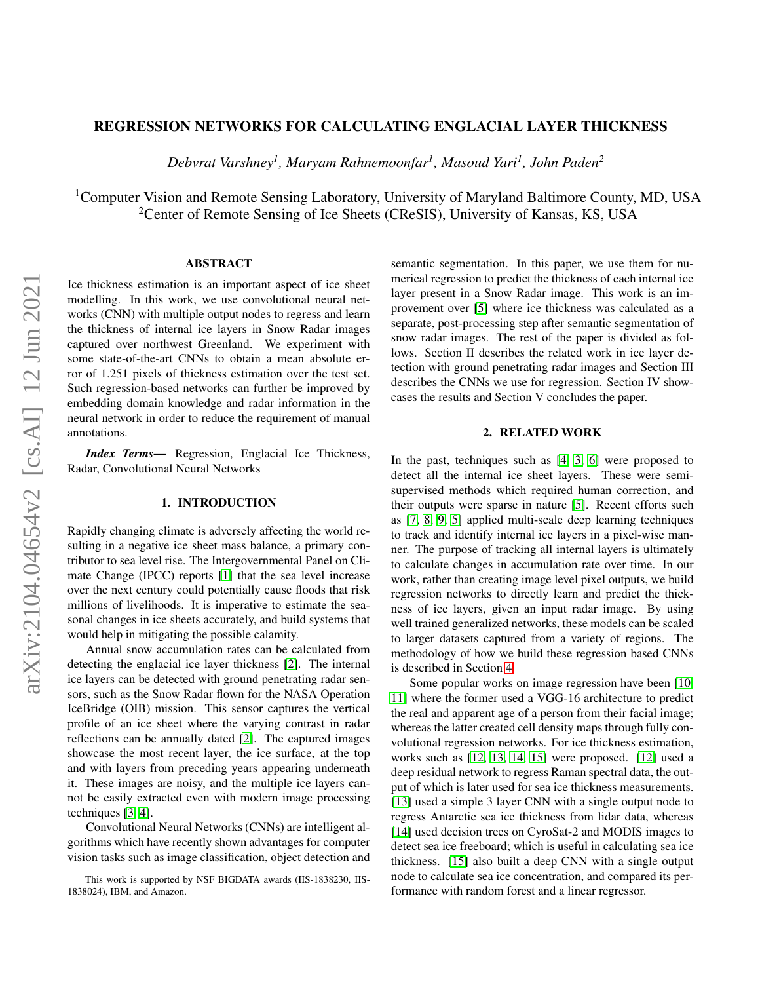# REGRESSION NETWORKS FOR CALCULATING ENGLACIAL LAYER THICKNESS

*Debvrat Varshney<sup>1</sup> , Maryam Rahnemoonfar<sup>1</sup> , Masoud Yari<sup>1</sup> , John Paden<sup>2</sup>*

<sup>1</sup>Computer Vision and Remote Sensing Laboratory, University of Maryland Baltimore County, MD, USA <sup>2</sup> Center of Remote Sensing of Ice Sheets (CReSIS), University of Kansas, KS, USA

## ABSTRACT

Ice thickness estimation is an important aspect of ice sheet modelling. In this work, we use convolutional neural networks (CNN) with multiple output nodes to regress and learn the thickness of internal ice layers in Snow Radar images captured over northwest Greenland. We experiment with some state-of-the-art CNNs to obtain a mean absolute error of 1.251 pixels of thickness estimation over the test set. Such regression-based networks can further be improved by embedding domain knowledge and radar information in the neural network in order to reduce the requirement of manual annotations.

*Index Terms*— Regression, Englacial Ice Thickness, Radar, Convolutional Neural Networks

## 1. INTRODUCTION

Rapidly changing climate is adversely affecting the world resulting in a negative ice sheet mass balance, a primary contributor to sea level rise. The Intergovernmental Panel on Climate Change (IPCC) reports [\[1\]](#page-2-0) that the sea level increase over the next century could potentially cause floods that risk millions of livelihoods. It is imperative to estimate the seasonal changes in ice sheets accurately, and build systems that would help in mitigating the possible calamity.

Annual snow accumulation rates can be calculated from detecting the englacial ice layer thickness [\[2\]](#page-2-1). The internal ice layers can be detected with ground penetrating radar sensors, such as the Snow Radar flown for the NASA Operation IceBridge (OIB) mission. This sensor captures the vertical profile of an ice sheet where the varying contrast in radar reflections can be annually dated [\[2\]](#page-2-1). The captured images showcase the most recent layer, the ice surface, at the top and with layers from preceding years appearing underneath it. These images are noisy, and the multiple ice layers cannot be easily extracted even with modern image processing techniques [\[3,](#page-3-0) [4\]](#page-3-1).

Convolutional Neural Networks (CNNs) are intelligent algorithms which have recently shown advantages for computer vision tasks such as image classification, object detection and semantic segmentation. In this paper, we use them for numerical regression to predict the thickness of each internal ice layer present in a Snow Radar image. This work is an improvement over [\[5\]](#page-3-2) where ice thickness was calculated as a separate, post-processing step after semantic segmentation of snow radar images. The rest of the paper is divided as follows. Section II describes the related work in ice layer detection with ground penetrating radar images and Section III describes the CNNs we use for regression. Section IV showcases the results and Section V concludes the paper.

#### 2. RELATED WORK

In the past, techniques such as [\[4,](#page-3-1) [3,](#page-3-0) [6\]](#page-3-3) were proposed to detect all the internal ice sheet layers. These were semisupervised methods which required human correction, and their outputs were sparse in nature [\[5\]](#page-3-2). Recent efforts such as [\[7,](#page-3-4) [8,](#page-3-5) [9,](#page-3-6) [5\]](#page-3-2) applied multi-scale deep learning techniques to track and identify internal ice layers in a pixel-wise manner. The purpose of tracking all internal layers is ultimately to calculate changes in accumulation rate over time. In our work, rather than creating image level pixel outputs, we build regression networks to directly learn and predict the thickness of ice layers, given an input radar image. By using well trained generalized networks, these models can be scaled to larger datasets captured from a variety of regions. The methodology of how we build these regression based CNNs is described in Section [4.](#page-1-0)

Some popular works on image regression have been [\[10,](#page-3-7) [11\]](#page-3-8) where the former used a VGG-16 architecture to predict the real and apparent age of a person from their facial image; whereas the latter created cell density maps through fully convolutional regression networks. For ice thickness estimation, works such as [\[12,](#page-3-9) [13,](#page-3-10) [14,](#page-3-11) [15\]](#page-3-12) were proposed. [\[12\]](#page-3-9) used a deep residual network to regress Raman spectral data, the output of which is later used for sea ice thickness measurements. [\[13\]](#page-3-10) used a simple 3 layer CNN with a single output node to regress Antarctic sea ice thickness from lidar data, whereas [\[14\]](#page-3-11) used decision trees on CyroSat-2 and MODIS images to detect sea ice freeboard; which is useful in calculating sea ice thickness. [\[15\]](#page-3-12) also built a deep CNN with a single output node to calculate sea ice concentration, and compared its performance with random forest and a linear regressor.

This work is supported by NSF BIGDATA awards (IIS-1838230, IIS-1838024), IBM, and Amazon.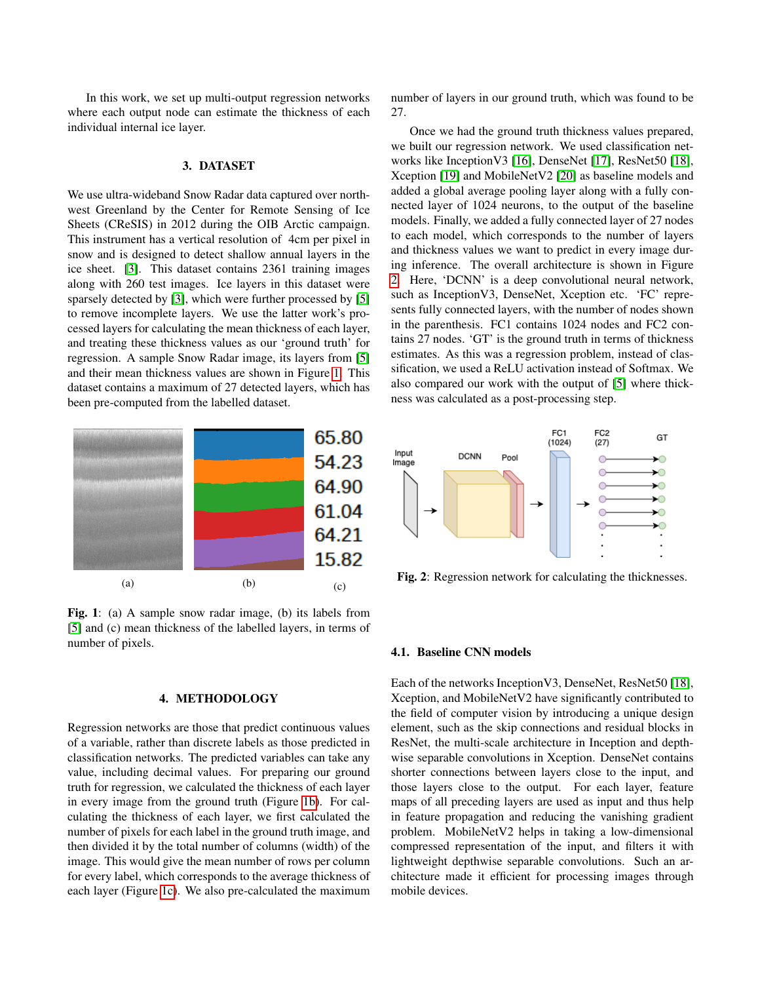In this work, we set up multi-output regression networks where each output node can estimate the thickness of each individual internal ice layer.

## 3. DATASET

We use ultra-wideband Snow Radar data captured over northwest Greenland by the Center for Remote Sensing of Ice Sheets (CReSIS) in 2012 during the OIB Arctic campaign. This instrument has a vertical resolution of 4cm per pixel in snow and is designed to detect shallow annual layers in the ice sheet. [\[3\]](#page-3-0). This dataset contains 2361 training images along with 260 test images. Ice layers in this dataset were sparsely detected by [\[3\]](#page-3-0), which were further processed by [\[5\]](#page-3-2) to remove incomplete layers. We use the latter work's processed layers for calculating the mean thickness of each layer, and treating these thickness values as our 'ground truth' for regression. A sample Snow Radar image, its layers from [\[5\]](#page-3-2) and their mean thickness values are shown in Figure [1.](#page-1-1) This dataset contains a maximum of 27 detected layers, which has been pre-computed from the labelled dataset.

<span id="page-1-1"></span>

Fig. 1: (a) A sample snow radar image, (b) its labels from [\[5\]](#page-3-2) and (c) mean thickness of the labelled layers, in terms of number of pixels.

### 4. METHODOLOGY

<span id="page-1-0"></span>Regression networks are those that predict continuous values of a variable, rather than discrete labels as those predicted in classification networks. The predicted variables can take any value, including decimal values. For preparing our ground truth for regression, we calculated the thickness of each layer in every image from the ground truth (Figure [1b\)](#page-1-1). For calculating the thickness of each layer, we first calculated the number of pixels for each label in the ground truth image, and then divided it by the total number of columns (width) of the image. This would give the mean number of rows per column for every label, which corresponds to the average thickness of each layer (Figure [1c\)](#page-1-1). We also pre-calculated the maximum number of layers in our ground truth, which was found to be 27.

Once we had the ground truth thickness values prepared, we built our regression network. We used classification networks like InceptionV3 [\[16\]](#page-3-13), DenseNet [\[17\]](#page-3-14), ResNet50 [\[18\]](#page-3-15), Xception [\[19\]](#page-3-16) and MobileNetV2 [\[20\]](#page-3-17) as baseline models and added a global average pooling layer along with a fully connected layer of 1024 neurons, to the output of the baseline models. Finally, we added a fully connected layer of 27 nodes to each model, which corresponds to the number of layers and thickness values we want to predict in every image during inference. The overall architecture is shown in Figure [2.](#page-1-2) Here, 'DCNN' is a deep convolutional neural network, such as InceptionV3, DenseNet, Xception etc. 'FC' represents fully connected layers, with the number of nodes shown in the parenthesis. FC1 contains 1024 nodes and FC2 contains 27 nodes. 'GT' is the ground truth in terms of thickness estimates. As this was a regression problem, instead of classification, we used a ReLU activation instead of Softmax. We also compared our work with the output of [\[5\]](#page-3-2) where thickness was calculated as a post-processing step.

<span id="page-1-2"></span>

Fig. 2: Regression network for calculating the thicknesses.

#### 4.1. Baseline CNN models

Each of the networks InceptionV3, DenseNet, ResNet50 [\[18\]](#page-3-15), Xception, and MobileNetV2 have significantly contributed to the field of computer vision by introducing a unique design element, such as the skip connections and residual blocks in ResNet, the multi-scale architecture in Inception and depthwise separable convolutions in Xception. DenseNet contains shorter connections between layers close to the input, and those layers close to the output. For each layer, feature maps of all preceding layers are used as input and thus help in feature propagation and reducing the vanishing gradient problem. MobileNetV2 helps in taking a low-dimensional compressed representation of the input, and filters it with lightweight depthwise separable convolutions. Such an architecture made it efficient for processing images through mobile devices.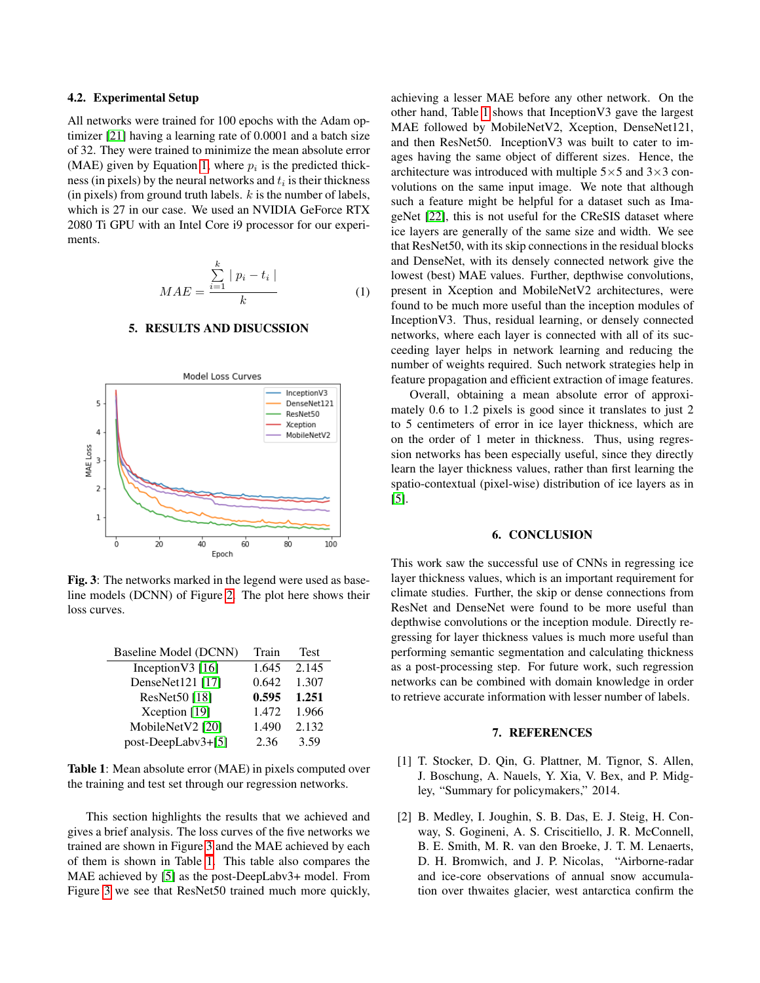## 4.2. Experimental Setup

All networks were trained for 100 epochs with the Adam optimizer [\[21\]](#page-3-18) having a learning rate of 0.0001 and a batch size of 32. They were trained to minimize the mean absolute error (MAE) given by Equation [1,](#page-2-2) where  $p_i$  is the predicted thickness (in pixels) by the neural networks and  $t_i$  is their thickness (in pixels) from ground truth labels.  $k$  is the number of labels, which is 27 in our case. We used an NVIDIA GeForce RTX 2080 Ti GPU with an Intel Core i9 processor for our experiments.

<span id="page-2-2"></span>
$$
MAE = \frac{\sum_{i=1}^{k} |p_i - t_i|}{k} \tag{1}
$$

### 5. RESULTS AND DISUCSSION

<span id="page-2-3"></span>

Fig. 3: The networks marked in the legend were used as baseline models (DCNN) of Figure [2.](#page-1-2) The plot here shows their loss curves.

<span id="page-2-4"></span>

| Baseline Model (DCNN) | Train | <b>Test</b> |
|-----------------------|-------|-------------|
| Inception V3 $[16]$   | 1.645 | 2.145       |
| DenseNet121 [17]      | 0.642 | 1.307       |
| ResNet50 [18]         | 0.595 | 1.251       |
| Xception [19]         | 1.472 | 1.966       |
| MobileNetV2 [20]      | 1.490 | 2.132       |
| post-DeepLabv3+[5]    | 2.36  | 3.59        |

Table 1: Mean absolute error (MAE) in pixels computed over the training and test set through our regression networks.

This section highlights the results that we achieved and gives a brief analysis. The loss curves of the five networks we trained are shown in Figure [3](#page-2-3) and the MAE achieved by each of them is shown in Table [1.](#page-2-4) This table also compares the MAE achieved by [\[5\]](#page-3-2) as the post-DeepLabv3+ model. From Figure [3](#page-2-3) we see that ResNet50 trained much more quickly, achieving a lesser MAE before any other network. On the other hand, Table [1](#page-2-4) shows that InceptionV3 gave the largest MAE followed by MobileNetV2, Xception, DenseNet121, and then ResNet50. InceptionV3 was built to cater to images having the same object of different sizes. Hence, the architecture was introduced with multiple  $5 \times 5$  and  $3 \times 3$  convolutions on the same input image. We note that although such a feature might be helpful for a dataset such as ImageNet [\[22\]](#page-3-19), this is not useful for the CReSIS dataset where ice layers are generally of the same size and width. We see that ResNet50, with its skip connections in the residual blocks and DenseNet, with its densely connected network give the lowest (best) MAE values. Further, depthwise convolutions, present in Xception and MobileNetV2 architectures, were found to be much more useful than the inception modules of InceptionV3. Thus, residual learning, or densely connected networks, where each layer is connected with all of its succeeding layer helps in network learning and reducing the number of weights required. Such network strategies help in feature propagation and efficient extraction of image features.

Overall, obtaining a mean absolute error of approximately 0.6 to 1.2 pixels is good since it translates to just 2 to 5 centimeters of error in ice layer thickness, which are on the order of 1 meter in thickness. Thus, using regression networks has been especially useful, since they directly learn the layer thickness values, rather than first learning the spatio-contextual (pixel-wise) distribution of ice layers as in [\[5\]](#page-3-2).

#### 6. CONCLUSION

This work saw the successful use of CNNs in regressing ice layer thickness values, which is an important requirement for climate studies. Further, the skip or dense connections from ResNet and DenseNet were found to be more useful than depthwise convolutions or the inception module. Directly regressing for layer thickness values is much more useful than performing semantic segmentation and calculating thickness as a post-processing step. For future work, such regression networks can be combined with domain knowledge in order to retrieve accurate information with lesser number of labels.

#### 7. REFERENCES

- <span id="page-2-0"></span>[1] T. Stocker, D. Qin, G. Plattner, M. Tignor, S. Allen, J. Boschung, A. Nauels, Y. Xia, V. Bex, and P. Midgley, "Summary for policymakers," 2014.
- <span id="page-2-1"></span>[2] B. Medley, I. Joughin, S. B. Das, E. J. Steig, H. Conway, S. Gogineni, A. S. Criscitiello, J. R. McConnell, B. E. Smith, M. R. van den Broeke, J. T. M. Lenaerts, D. H. Bromwich, and J. P. Nicolas, "Airborne-radar and ice-core observations of annual snow accumulation over thwaites glacier, west antarctica confirm the